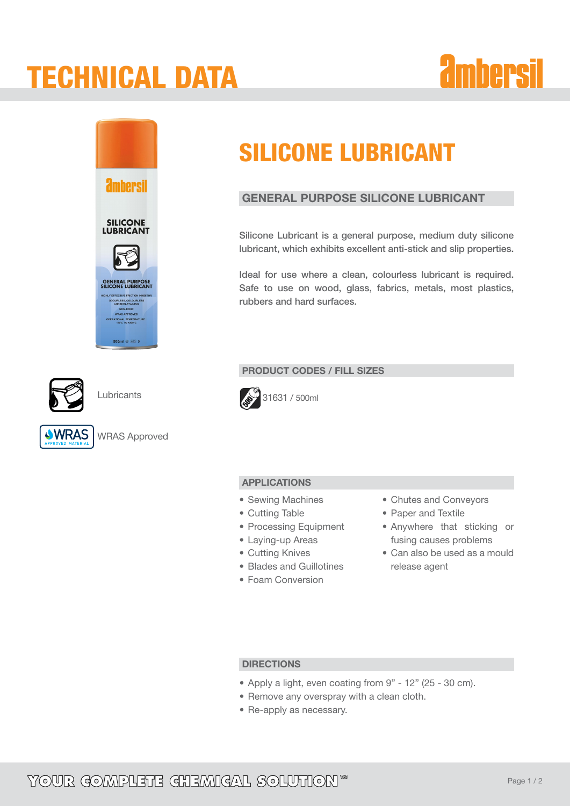## tECHNICAL dATA





**Lubricants** 



WRAS Approved

## SILICONE LUBRICANT

## GENERAL PURPOSE SILICONE LUBRICANT

Silicone Lubricant is a general purpose, medium duty silicone lubricant, which exhibits excellent anti-stick and slip properties.

Ideal for use where a clean, colourless lubricant is required. Safe to use on wood, glass, fabrics, metals, most plastics, rubbers and hard surfaces.

### PRODUCT CODES / FILL SIZES



### APPLICATIONS

- Sewing Machines
- Cutting Table
- Processing Equipment
- Laying-up Areas
- Cutting Knives
- • Blades and Guillotines
- Foam Conversion
- • Chutes and Conveyors
- • Paper and Textile
- Anywhere that sticking or fusing causes problems
- • Can also be used as a mould release agent

### **DIRECTIONS**

- • Apply a light, even coating from 9" 12" (25 30 cm).
- Remove any overspray with a clean cloth.
- Re-apply as necessary.